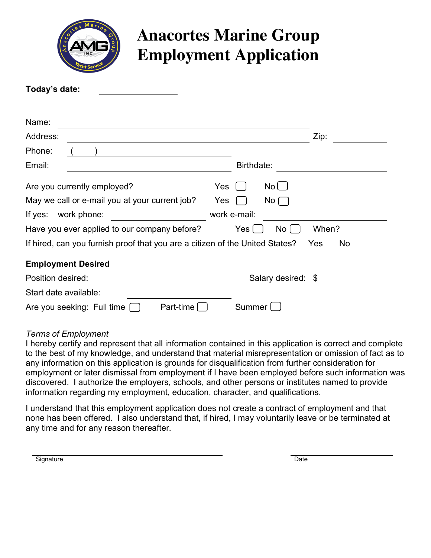

# **Anacortes Marine Group Employment Application**

| Today's date:                                                                |                                           |
|------------------------------------------------------------------------------|-------------------------------------------|
|                                                                              |                                           |
| Name:                                                                        |                                           |
| Address:                                                                     | Zip:                                      |
| Phone:                                                                       |                                           |
| Email:                                                                       | Birthdate:                                |
| Are you currently employed?<br>Yes                                           | $No$ $\Box$                               |
| May we call or e-mail you at your current job?<br>Yes                        | No                                        |
| work phone:<br>If yes:                                                       | work e-mail:                              |
| Have you ever applied to our company before?                                 | No <sub>1</sub><br>When?<br>Yes $\lfloor$ |
| If hired, can you furnish proof that you are a citizen of the United States? | No<br>Yes                                 |
| <b>Employment Desired</b>                                                    |                                           |
| Position desired:                                                            | Salary desired: \$                        |
| Start date available:                                                        |                                           |
| Part-time<br>Are you seeking: Full time                                      | Summer                                    |

#### *Terms of Employment*

I hereby certify and represent that all information contained in this application is correct and complete to the best of my knowledge, and understand that material misrepresentation or omission of fact as to any information on this application is grounds for disqualification from further consideration for employment or later dismissal from employment if I have been employed before such information was discovered. I authorize the employers, schools, and other persons or institutes named to provide information regarding my employment, education, character, and qualifications.

I understand that this employment application does not create a contract of employment and that none has been offered. I also understand that, if hired, I may voluntarily leave or be terminated at any time and for any reason thereafter.

Signature Date Date of the Date of the Date of the Date of the Date of the Date of the Date of the Date of the